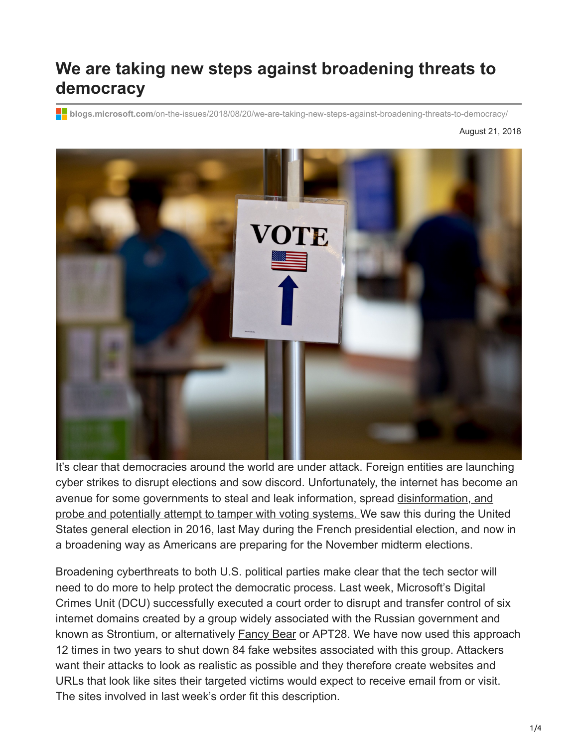# **We are taking new steps against broadening threats to democracy**

**blogs.microsoft.com**[/on-the-issues/2018/08/20/we-are-taking-new-steps-against-broadening-threats-to-democracy/](https://blogs.microsoft.com/on-the-issues/2018/08/20/we-are-taking-new-steps-against-broadening-threats-to-democracy/)

August 21, 2018



It's clear that democracies around the world are under attack. Foreign entities are launching cyber strikes to disrupt elections and sow discord. Unfortunately, the internet has become an [avenue for some governments to steal and leak information, spread disinformation, and](https://www.washingtonpost.com/world/national-security/obama-orders-review-of-russian-hacking-during-presidential-campaign/2016/12/09/31d6b300-be2a-11e6-94ac-3d324840106c_story.html?utm_term=.97ecfa0a1b6c) probe and potentially attempt to tamper with voting systems. We saw this during the United States general election in 2016, last May during the French presidential election, and now in a broadening way as Americans are preparing for the November midterm elections.

Broadening cyberthreats to both U.S. political parties make clear that the tech sector will need to do more to help protect the democratic process. Last week, Microsoft's Digital Crimes Unit (DCU) successfully executed a court order to disrupt and transfer control of six internet domains created by a group widely associated with the Russian government and known as Strontium, or alternatively [Fancy Bear](https://en.wikipedia.org/wiki/Fancy_Bear) or APT28. We have now used this approach 12 times in two years to shut down 84 fake websites associated with this group. Attackers want their attacks to look as realistic as possible and they therefore create websites and URLs that look like sites their targeted victims would expect to receive email from or visit. The sites involved in last week's order fit this description.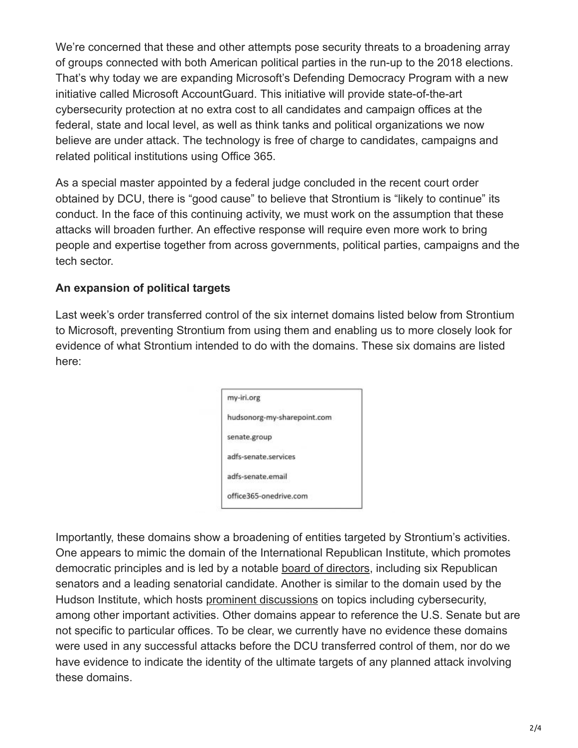We're concerned that these and other attempts pose security threats to a broadening array of groups connected with both American political parties in the run-up to the 2018 elections. That's why today we are expanding Microsoft's Defending Democracy Program with a new initiative called Microsoft AccountGuard. This initiative will provide state-of-the-art cybersecurity protection at no extra cost to all candidates and campaign offices at the federal, state and local level, as well as think tanks and political organizations we now believe are under attack. The technology is free of charge to candidates, campaigns and related political institutions using Office 365.

As a special master appointed by a federal judge concluded in the recent court order obtained by DCU, there is "good cause" to believe that Strontium is "likely to continue" its conduct. In the face of this continuing activity, we must work on the assumption that these attacks will broaden further. An effective response will require even more work to bring people and expertise together from across governments, political parties, campaigns and the tech sector.

### **An expansion of political targets**

Last week's order transferred control of the six internet domains listed below from Strontium to Microsoft, preventing Strontium from using them and enabling us to more closely look for evidence of what Strontium intended to do with the domains. These six domains are listed here:

| my-iri.org           |                             |
|----------------------|-----------------------------|
|                      | hudsonorg-my-sharepoint.com |
| senate.group         |                             |
| adfs-senate.services |                             |
| adfs-senate.email    |                             |
|                      | office365-onedrive.com      |

Importantly, these domains show a broadening of entities targeted by Strontium's activities. One appears to mimic the domain of the International Republican Institute, which promotes democratic principles and is led by a notable [board of directors,](http://www.iri.org/who-we-are/board-of-directors) including six Republican senators and a leading senatorial candidate. Another is similar to the domain used by the Hudson Institute, which hosts [prominent discussions](https://www.hudson.org/research/14452-dni-coats-remarks-at-hudson-event-widely-covered-by-major-news-outlets) on topics including cybersecurity, among other important activities. Other domains appear to reference the U.S. Senate but are not specific to particular offices. To be clear, we currently have no evidence these domains were used in any successful attacks before the DCU transferred control of them, nor do we have evidence to indicate the identity of the ultimate targets of any planned attack involving these domains.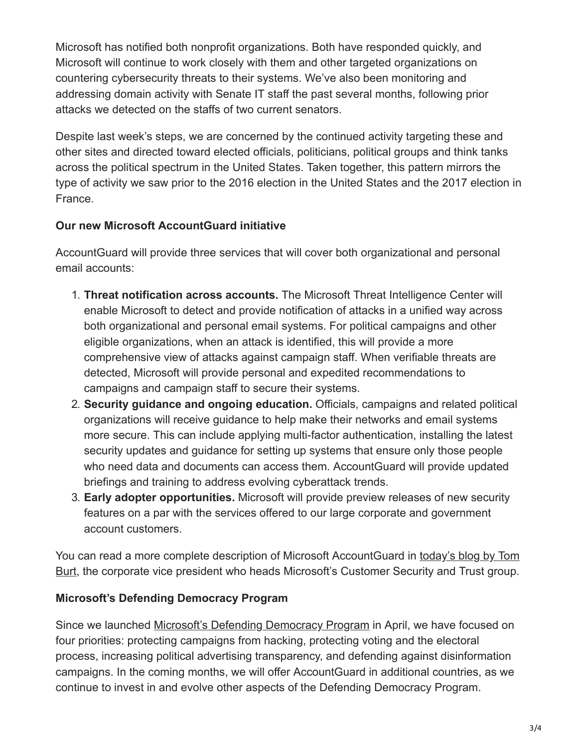Microsoft has notified both nonprofit organizations. Both have responded quickly, and Microsoft will continue to work closely with them and other targeted organizations on countering cybersecurity threats to their systems. We've also been monitoring and addressing domain activity with Senate IT staff the past several months, following prior attacks we detected on the staffs of two current senators.

Despite last week's steps, we are concerned by the continued activity targeting these and other sites and directed toward elected officials, politicians, political groups and think tanks across the political spectrum in the United States. Taken together, this pattern mirrors the type of activity we saw prior to the 2016 election in the United States and the 2017 election in France.

### **Our new Microsoft AccountGuard initiative**

AccountGuard will provide three services that will cover both organizational and personal email accounts:

- 1. **Threat notification across accounts.** The Microsoft Threat Intelligence Center will enable Microsoft to detect and provide notification of attacks in a unified way across both organizational and personal email systems. For political campaigns and other eligible organizations, when an attack is identified, this will provide a more comprehensive view of attacks against campaign staff. When verifiable threats are detected, Microsoft will provide personal and expedited recommendations to campaigns and campaign staff to secure their systems.
- 2. **Security guidance and ongoing education.** Officials, campaigns and related political organizations will receive guidance to help make their networks and email systems more secure. This can include applying multi-factor authentication, installing the latest security updates and guidance for setting up systems that ensure only those people who need data and documents can access them. AccountGuard will provide updated briefings and training to address evolving cyberattack trends.
- 3. **Early adopter opportunities.** Microsoft will provide preview releases of new security features on a par with the services offered to our large corporate and government account customers.

[You can read a more complete description of Microsoft AccountGuard in today's blog by Tom](https://blogs.microsoft.com/on-the-issues/?p=60708) Burt, the corporate vice president who heads Microsoft's Customer Security and Trust group.

### **Microsoft's Defending Democracy Program**

Since we launched [Microsoft's Defending Democracy Program](https://blogs.microsoft.com/on-the-issues/2018/04/13/announcing-the-defending-democracy-program/) in April, we have focused on four priorities: protecting campaigns from hacking, protecting voting and the electoral process, increasing political advertising transparency, and defending against disinformation campaigns. In the coming months, we will offer AccountGuard in additional countries, as we continue to invest in and evolve other aspects of the Defending Democracy Program.